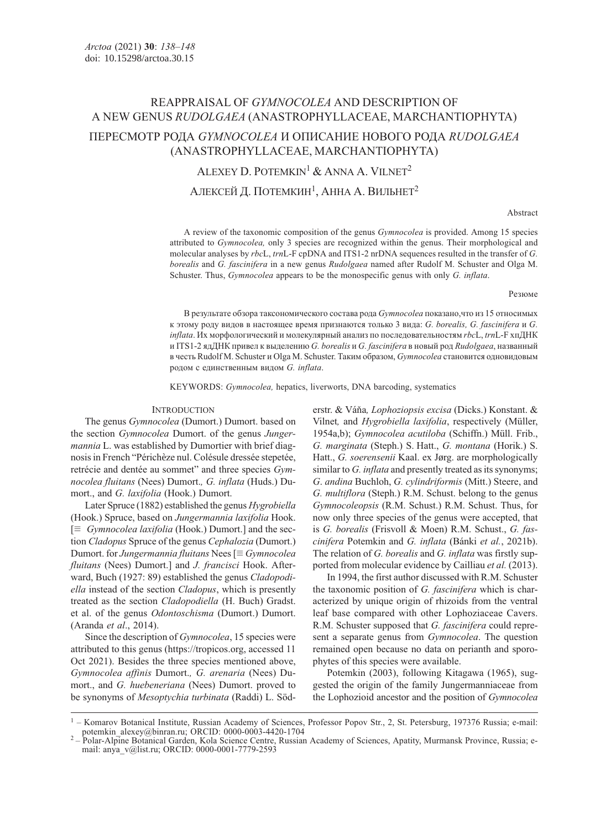# REAPPRAISAL OF GYMNOCOLEA AND DESCRIPTION OF A NEW GENUS RUDOLGAEA (ANASTROPHYLLACEAE, MARCHANTIOPHYTA) ПЕРЕСМОТР РОДА GYMNOCOLEA И ОПИСАНИЕ НОВОГО РОДА RUDOLGAEA (ANASTROPHYLLACEAE, MARCHANTIOPHYTA)

ALEXEY D. POTEMKIN<sup>1</sup> & ANNA A. VILNET<sup>2</sup>

АЛЕКСЕЙ Д. ПОТЕМКИН<sup>1</sup>, АННА А. ВИЛЬНЕТ<sup>2</sup>

Abstract

A review of the taxonomic composition of the genus Gymnocolea is provided. Among 15 species attributed to Gymnocolea, only 3 species are recognized within the genus. Their morphological and molecular analyses by rbcL, trnL-F cpDNA and ITS1-2 nrDNA sequences resulted in the transfer of G. borealis and G. fascinifera in a new genus Rudolgaea named after Rudolf M. Schuster and Olga M. Schuster. Thus, *Gymnocolea* appears to be the monospecific genus with only *G. inflata*.

Резюме

В результате обзора таксономического состава рода Gymnocolea показано,что из 15 относимых к этому роду видов в настоящее время признаются только 3 вида: G. borealis, G. fascinifera и G. inflata. Их морфологический и молекулярный анализ по последовательностям rbcL, trnL-F хпДНК и ITS1-2 ядДНК привел к выделению G. borealis и G. fascinifera в новый род Rudolgaea, названный в честь Rudolf M. Schuster и Olga M. Schuster. Таким образом, Gymnocolea становится одновидовым родом с единственным видом G. inflata.

KEYWORDS: Gymnocolea, hepatics, liverworts, DNA barcoding, systematics

## **INTRODUCTION**

The genus Gymnocolea (Dumort.) Dumort. based on the section Gymnocolea Dumort. of the genus Jungermannia L. was established by Dumortier with brief diagnosis in French "Périchèze nul. Colésule dressée stepetée, retrécie and dentée au sommet" and three species Gymnocolea fluitans (Nees) Dumort., G. inflata (Huds.) Dumort., and G. laxifolia (Hook.) Dumort.

Later Spruce (1882) established the genus Hygrobiella (Hook.) Spruce, based on Jungermannia laxifolia Hook.  $[\equiv \textit{Gymnocolea } \textit{laxifolia}$  (Hook.) Dumort.] and the section Cladopus Spruce of the genus Cephalozia (Dumort.) Dumort. for Jungermannia fluitans Nees  $\equiv Gymnocolea$ fluitans (Nees) Dumort.] and *J. francisci* Hook. Afterward, Buch (1927: 89) established the genus Cladopodiella instead of the section Cladopus, which is presently treated as the section Cladopodiella (H. Buch) Gradst. et al. of the genus Odontoschisma (Dumort.) Dumort. (Aranda et al., 2014).

Since the description of *Gymnocolea*, 15 species were attributed to this genus (https://tropicos.org, accessed 11 Oct 2021). Besides the three species mentioned above, Gymnocolea affinis Dumort., G. arenaria (Nees) Dumort., and G. huebeneriana (Nees) Dumort. proved to be synonyms of Mesoptychia turbinata (Raddi) L. Söderstr. & Váňa, Lophoziopsis excisa (Dicks.) Konstant. & Vilnet, and Hygrobiella laxifolia, respectively (Müller, 1954a,b); Gymnocolea acutiloba (Schiffn.) Müll. Frib., G. marginata (Steph.) S. Hatt., G. montana (Horik.) S. Hatt., G. soerensenii Kaal. ex Jørg. are morphologically similar to G. inflata and presently treated as its synonyms; G. andina Buchloh, G. cylindriformis (Mitt.) Steere, and G. multiflora (Steph.) R.M. Schust. belong to the genus Gymnocoleopsis (R.M. Schust.) R.M. Schust. Thus, for now only three species of the genus were accepted, that is G. borealis (Frisvoll & Moen) R.M. Schust., G. fascinifera Potemkin and G. inflata (Bánki et al., 2021b). The relation of G. borealis and G. inflata was firstly supported from molecular evidence by Cailliau et al. (2013).

In 1994, the first author discussed with R.M. Schuster the taxonomic position of G. fascinifera which is characterized by unique origin of rhizoids from the ventral leaf base compared with other Lophoziaceae Cavers. R.M. Schuster supposed that G. fascinifera could represent a separate genus from Gymnocolea. The question remained open because no data on perianth and sporophytes of this species were available.

Potemkin (2003), following Kitagawa (1965), suggested the origin of the family Jungermanniaceae from the Lophozioid ancestor and the position of Gymnocolea

<sup>&</sup>lt;sup>1</sup> – Komarov Botanical Institute, Russian Academy of Sciences, Professor Popov Str., 2, St. Petersburg, 197376 Russia; e-mail: potemkin alexey@binran.ru; ORCID: 0000-0003-4420-1704

Polar-Alpine Botanical Garden, Kola Science Centre, Russian Academy of Sciences, Apatity, Murmansk Province, Russia; email: anya\_v@list.ru; ORCID: 0000-0001-7779-2593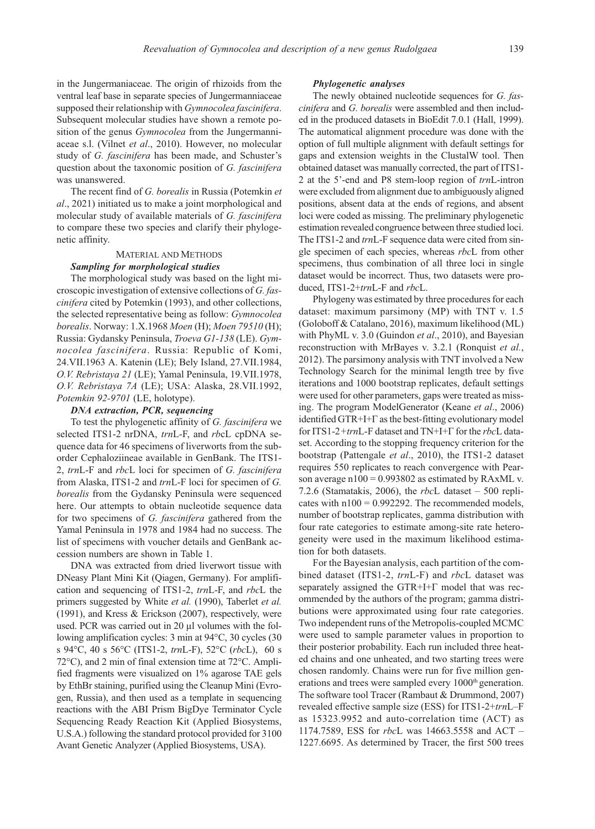in the Jungermaniaceae. The origin of rhizoids from the ventral leaf base in separate species of Jungermanniaceae supposed their relationship with Gymnocolea fascinifera. Subsequent molecular studies have shown a remote position of the genus Gymnocolea from the Jungermanniaceae s.l. (Vilnet et al., 2010). However, no molecular study of G. fascinifera has been made, and Schuster's question about the taxonomic position of G. fascinifera was unanswered.

The recent find of G. borealis in Russia (Potemkin et al., 2021) initiated us to make a joint morphological and molecular study of available materials of G. fascinifera to compare these two species and clarify their phylogenetic affinity.

## MATERIAL AND METHODS Sampling for morphological studies

The morphological study was based on the light microscopic investigation of extensive collections of G. fascinifera cited by Potemkin (1993), and other collections, the selected representative being as follow: Gymnocolea borealis. Norway: 1.X.1968 Moen (H); Moen 79510 (H); Russia: Gydansky Peninsula, Troeva G1-138 (LE). Gymnocolea fascinifera. Russia: Republic of Komi, 24.VII.1963 A. Katenin (LE); Bely Island, 27.VII.1984, O.V. Rebristaya 21 (LE); Yamal Peninsula, 19.VII.1978, O.V. Rebristaya 7A (LE); USA: Alaska, 28.VII.1992, Potemkin 92-9701 (LE, holotype).

#### DNA extraction, PCR, sequencing

To test the phylogenetic affinity of G. fascinifera we selected ITS1-2 nrDNA, trnL-F, and rbcL cpDNA sequence data for 46 specimens of liverworts from the suborder Cephaloziineae available in GenBank. The ITS1- 2, trnL-F and rbcL loci for specimen of G. fascinifera from Alaska, ITS1-2 and trnL-F loci for specimen of G. borealis from the Gydansky Peninsula were sequenced here. Our attempts to obtain nucleotide sequence data for two specimens of G. fascinifera gathered from the Yamal Peninsula in 1978 and 1984 had no success. The list of specimens with voucher details and GenBank accession numbers are shown in Table 1.

DNA was extracted from dried liverwort tissue with DNeasy Plant Mini Kit (Qiagen, Germany). For amplification and sequencing of ITS1-2, trnL-F, and rbcL the primers suggested by White et al. (1990), Taberlet et al. (1991), and Kress & Erickson (2007), respectively, were used. PCR was carried out in 20 μl volumes with the following amplification cycles: 3 min at 94°C, 30 cycles (30 s 94°C, 40 s 56°C (ITS1-2, trnL-F), 52°C (rbcL), 60 s 72°C), and 2 min of final extension time at 72°C. Amplified fragments were visualized on 1% agarose TAE gels by EthBr staining, purified using the Cleanup Mini (Evrogen, Russia), and then used as a template in sequencing reactions with the ABI Prism BigDye Terminator Cycle Sequencing Ready Reaction Kit (Applied Biosystems, U.S.A.) following the standard protocol provided for 3100 Avant Genetic Analyzer (Applied Biosystems, USA).

#### Phylogenetic analyses

The newly obtained nucleotide sequences for G. fascinifera and G. borealis were assembled and then included in the produced datasets in BioEdit 7.0.1 (Hall, 1999). The automatical alignment procedure was done with the option of full multiple alignment with default settings for gaps and extension weights in the ClustalW tool. Then obtained dataset was manually corrected, the part of ITS1- 2 at the 5'-end and P8 stem-loop region of trnL-intron were excluded from alignment due to ambiguously aligned positions, absent data at the ends of regions, and absent loci were coded as missing. The preliminary phylogenetic estimation revealed congruence between three studied loci. The ITS1-2 and *trn*L-F sequence data were cited from single specimen of each species, whereas rbcL from other specimens, thus combination of all three loci in single dataset would be incorrect. Thus, two datasets were produced, ITS1-2+trnL-F and rbcL.

Phylogeny was estimated by three procedures for each dataset: maximum parsimony (MP) with TNT v. 1.5 (Goloboff & Catalano, 2016), maximum likelihood (ML) with PhyML v. 3.0 (Guindon et al., 2010), and Bayesian reconstruction with MrBayes v. 3.2.1 (Ronquist et al., 2012). The parsimony analysis with TNT involved a New Technology Search for the minimal length tree by five iterations and 1000 bootstrap replicates, default settings were used for other parameters, gaps were treated as missing. The program ModelGenerator (Keane et al., 2006) identified GTR+I+Г as the best-fitting evolutionary model for ITS1-2+trnL-F dataset and TN+I+ $\Gamma$  for the rbcL dataset. According to the stopping frequency criterion for the bootstrap (Pattengale et al., 2010), the ITS1-2 dataset requires 550 replicates to reach convergence with Pearson average  $n100 = 0.993802$  as estimated by RAxML v. 7.2.6 (Stamatakis, 2006), the  $rbcL$  dataset – 500 replicates with  $n100 = 0.992292$ . The recommended models, number of bootstrap replicates, gamma distribution with four rate categories to estimate among-site rate heterogeneity were used in the maximum likelihood estimation for both datasets.

For the Bayesian analysis, each partition of the combined dataset (ITS1-2, trnL-F) and rbcL dataset was separately assigned the GTR+I+ $\Gamma$  model that was recommended by the authors of the program; gamma distributions were approximated using four rate categories. Two independent runs of the Metropolis-coupled MCMC were used to sample parameter values in proportion to their posterior probability. Each run included three heated chains and one unheated, and two starting trees were chosen randomly. Chains were run for five million generations and trees were sampled every 1000<sup>th</sup> generation. The software tool Tracer (Rambaut & Drummond, 2007) revealed effective sample size (ESS) for ITS1-2+trnL–F as 15323.9952 and auto-correlation time (ACT) as 1174.7589, ESS for *rbc*L was 14663.5558 and ACT – 1227.6695. As determined by Tracer, the first 500 trees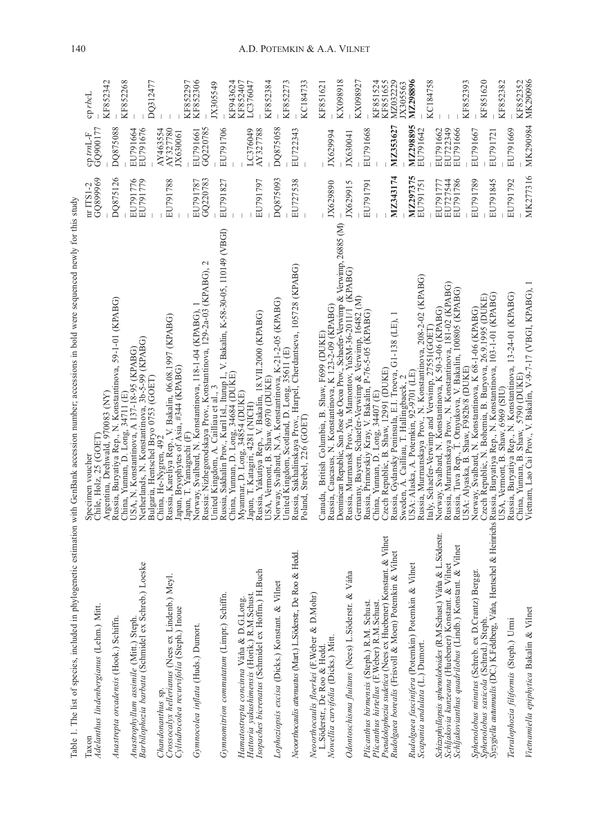|                                                                                                                                                                                                           | ١<br>CDT                         |
|-----------------------------------------------------------------------------------------------------------------------------------------------------------------------------------------------------------|----------------------------------|
|                                                                                                                                                                                                           | $m$ tm $\Gamma$<br>$\frac{1}{2}$ |
| $\sim$ $\sim$ $\sim$ $\sim$ $\sim$ $\sim$ $\sim$<br>i<br>ה דדרמיית ה<br>.<br>c<br>$\ddotsc$<br>coso estado por a<br>$\cdots$ $\left( \frac{1}{2}an\beta\right)$<br>notion w<br>i<br>ì<br>ŧ<br>¢<br>l<br>Ì | $\pi$ ITS1-2                     |
| i<br>l                                                                                                                                                                                                    | l                                |

| Table 1. The list of species, included in phylogenetic estimation                                                                                                                  | with GenBank accession number; accessions in bold were sequenced newly for this study                                                                                                                                                                                                                                                      |                                  |                                  |                      |
|------------------------------------------------------------------------------------------------------------------------------------------------------------------------------------|--------------------------------------------------------------------------------------------------------------------------------------------------------------------------------------------------------------------------------------------------------------------------------------------------------------------------------------------|----------------------------------|----------------------------------|----------------------|
| Adelanthus lindenbergianus (Lehm.) Mitt.<br>Taxon                                                                                                                                  | Specimen voucher<br>Chile, Holz, 25 (GOET)                                                                                                                                                                                                                                                                                                 | GQ899969<br>nr ITS1-2            | GQ900177<br>cp trnL-F            | $c$ p rbc $L$        |
| Anastrepta orcadensis (Hook.) Schiffn.                                                                                                                                             | Russia, Buryatiya Rep., N. Konstantinova, 59-1-01 (KPABG)<br>Argentina, Drehwald, 970083 (NY)                                                                                                                                                                                                                                              | DQ875126                         | DQ875088                         | KF852342             |
| Barbilophozia barbata (Schmidel ex Schreb.) Loeske<br>Anastrophyllum assimile (Mitt.) Steph.                                                                                       | Netherlands, N. Konstantinova, 3b-5-99 (KPABG)<br>USA, N. Konstantinova, A 137-18-95 (KPABG)<br>China, Yunnan, D. Long, 34711 (E)                                                                                                                                                                                                          | EU791776<br>EU791779             | EU791676<br>EU791664             | KF852268             |
| Crossocalyx hellerianus (Nees ex Lindenb.) Meyl.<br>Cylindrocolea recurvifolia (Steph.) Inoue<br>Chandonanthus sp.                                                                 | Russia, Kareliya Rep., V. Bakalin, 06.08.1997 (KPABG)<br>Japan, Bryophytes of Asia, #344 (KPABG)<br>Bulgaria, Hentschel Bryo 0753 (GOET)<br>China, He-Nygren, 492                                                                                                                                                                          | EU791788                         | AY463554<br>AY327780<br>JX630061 | DQ312477             |
| Gymnocolea inflata (Huds.) Dumort.                                                                                                                                                 | Nórway, Svalbard, N. Konstantinova, 118-1-04 (KPABG), 1<br>Russia: Nizhegorodskaya Prov., Konstantinova, 129-2a-03 (KPABG), 2<br>Japan, T. Yamaguchi (F)                                                                                                                                                                                   | GQ220783<br>EU791787             | GQ220785<br>EU791661             | KF852306<br>KF852297 |
| Gymnomitrion commutatum (Limpr.) Schiffn.                                                                                                                                          | Russia, Sakhalin Prov., Kuril Isl., Iturup I., V. Bakalin, K-58-30-05, 110149 (VBGI)<br>China, Yuman, D. Long, 34684 (DUKE)<br>Myanmar, D. Long, 34854 (DUKE)<br>United Kingdom, A. Cailliau et al., 3                                                                                                                                     | EU791827                         | EU791706                         | KF943624<br>JX305549 |
| Hattoria yakushimensis (Horik.) R.M.Schust.<br>Isopaches bicrenatus (Schmidel ex Hoffm.) H.Buch<br>Hamatostrepta concinna Váňa & D.G.Long.                                         | Russia, Yakutiya Rep., V. Bakalin, 18.VII.2000 (KPABG)<br>Japan, T. Katagiri, 4281 (NICH)                                                                                                                                                                                                                                                  | EU791797                         | AY327788<br>LC376049             | KF852407<br>LC376047 |
| Lophoziopsis excisa (Dicks.) Konstant. & Vilnet                                                                                                                                    | USA, Vermonť, B. Shaw, 6970 (DUKE)<br>Norway, Svalbard, N.A. Konstantinova, K-21-2-05 (KPABG)                                                                                                                                                                                                                                              | DQ875093                         | DQ875058                         | KF852384<br>KF852273 |
| Neoorthocaulis attenuatus (Mart.) L.Söderstr., De Roo & Hedd.                                                                                                                      | United Kingdom, Scotland, D. Long, 35611 (E)<br>Russia, Sakhalinskaya Prov., Harpel, Cherdantseva, 105728 (KPABG)<br>Poland, Strebel, 226 (GOET)                                                                                                                                                                                           | EU727538                         | EU722343                         | KC184733             |
| Neoorthocaulis floerkei (F. Weber & D.Mohr)                                                                                                                                        |                                                                                                                                                                                                                                                                                                                                            |                                  |                                  |                      |
| Nowellia curvifolia (Dicks.) Mitt.<br>L.Söderstr., De Roo & Hedd.                                                                                                                  | Russia, Caucasus, N. Konstantinova, K 123-2-09 (KPABG)<br>Canada, British Columbia, B. Shaw, F699 (DUKE)                                                                                                                                                                                                                                   | JX629890                         | JX62994                          | KF851621             |
| Odontoschisma fluitans (Nees) L.Söderstr. & Váňa                                                                                                                                   | Dominican Republic, San Jose de Ocoa Prov., Schaefer-Verwimp & Verwimp, 26885 (M)<br>Russia, Murmansk Prov., Yu. Mamontov, YuSM-36-2011/1 (KPABG)<br>Germany, Bayern, Schaefer-Verwimp & Verwimp, 16482 (M)                                                                                                                                | JX629915                         | JX630041                         | KX098918             |
| Plicanthus birmensis (Steph.) R.M. Schust.<br>Plicanthus hirtellus (F.Weber) R.M.Schust.                                                                                           | Russia, Primórskiy Kray, V. Bakalin, P-76-5-05 (KPABG)<br>China, Yunnan, D. Long, 34407 (E)                                                                                                                                                                                                                                                | EU791791                         | EU791668                         | KX098927<br>KF851524 |
| Pseudolophozia sudetica (Nees ex Huebener) Konstant. & Vilnet<br>Rudolgaea borealis (Frisvoll & Moen) Potemkin & Vilnet                                                            | Russia, Gydansky Peninsula, E.I. Troeva, G1-138 (LE), 1<br>Czech Republic, B. Shaw, 12991 (DUKE)                                                                                                                                                                                                                                           | MZ343174                         | MZ353627                         | MZ032229<br>KF851655 |
| Rudolgaea fascinifera (Potemkin) Potemkin & Vilnet<br>Scapania undulata (L.) Dumort.                                                                                               | Russia, Murmanskaya Prov., N. Konstantinova, 208-2-02 (KPABG)<br>USA: Alaska, A. Potemkin, 92-9701 (LE)<br>Sweden, A. Cailliau, T. Hallingbaeck, 2                                                                                                                                                                                         | MZ297375<br>EU791751             | MZ298895<br>EU791642             | MZ298896<br>JX305563 |
| Schizophyllopsis sphenoloboides (R.M.Schust.) Váňa & L.Söderstr.<br>Schijakovianthus quadrilobus (Lindb.) Konstant. & Vilnet<br>Schljakovia kunzeana (Huebener) Konstant. & Vilnet | Russia, Murmanskaya Prov., N. Konstantinova, 181-02 (KPABG)<br>Russia, Tuva Rep., T. Otnyukova, V. Bakalin, 100805 (KPABG)<br>USA: Alyaska, B. Shaw, F982b/8 (DUKE)<br>Norway, Svalbard, N. Konstantinova, K 68-1-06 (KPABG)<br>Italy, Schaefer-Verwimp and Verwimp, 27551 (GOET)<br>Norway, Svalbard, N. Konstantinova, K 50-3-06 (KPABG) | EU791786<br>EU727544<br>EU791777 | EU722349<br>EU791666<br>EU791662 | KC184758             |
| Syzygiella autumnalis (DC.) K.Feldberg, Váňa, Hentschel & Heimrichs<br>Sphenolobus minutus (Schreb. ex D.Crantz) Berggr.<br>Sphenolobus saxicola (Schrad.) Steph.                  | Russia, Buryatiya Rep., N. Konstantinova, 103-1-01 (KPABG)<br>Czech Republic, N. Bohemia, B. Buryova, 26.9.1995 (DUKE)                                                                                                                                                                                                                     | EU791789<br>EU791845             | EU791667<br>EU791721             | KF852393<br>KF851620 |
| Tetralophozia filiformis (Steph.) Urmi                                                                                                                                             | Russia, Buryatiya Rep., N. Konstantinova, 13-24-01 (KPABG)<br>USA, Vermont, B. Shaw, 6969 (SIU)                                                                                                                                                                                                                                            | EU791792                         | EU791669                         | KF852382             |
| Vietnamiella epiphytica Bakalin & Vilnet                                                                                                                                           | China, Yuman, B. Shaw, 5790 (DUKE)<br>Vietnam, Lao Cai Prov., V. Bakalin, V-9-7-17 (VBGI, KPABG), 1                                                                                                                                                                                                                                        | MK277316                         | MK290984                         | MK290986<br>KF852352 |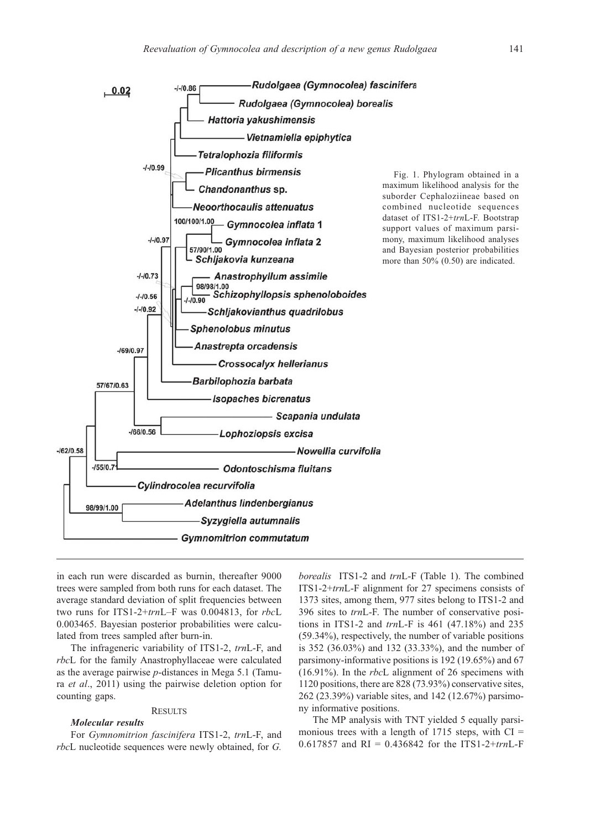

in each run were discarded as burnin, thereafter 9000 trees were sampled from both runs for each dataset. The average standard deviation of split frequencies between two runs for ITS1-2+trnL–F was 0.004813, for rbcL 0.003465. Bayesian posterior probabilities were calculated from trees sampled after burn-in.

The infrageneric variability of ITS1-2, trnL-F, and rbcL for the family Anastrophyllaceae were calculated as the average pairwise  $p$ -distances in Mega 5.1 (Tamura et al., 2011) using the pairwise deletion option for counting gaps.

# **RESULTS**

## Molecular results

For Gymnomitrion fascinifera ITS1-2, trnL-F, and rbcL nucleotide sequences were newly obtained, for G.

borealis ITS1-2 and trnL-F (Table 1). The combined ITS1-2+trnL-F alignment for 27 specimens consists of 1373 sites, among them, 977 sites belong to ITS1-2 and 396 sites to trnL-F. The number of conservative positions in ITS1-2 and trnL-F is 461 (47.18%) and 235 (59.34%), respectively, the number of variable positions is 352 (36.03%) and 132 (33.33%), and the number of parsimony-informative positions is 192 (19.65%) and 67 (16.91%). In the rbcL alignment of 26 specimens with 1120 positions, there are 828 (73.93%) conservative sites, 262 (23.39%) variable sites, and 142 (12.67%) parsimony informative positions.

The MP analysis with TNT yielded 5 equally parsimonious trees with a length of  $1715$  steps, with CI = 0.617857 and RI = 0.436842 for the ITS1-2+trnL-F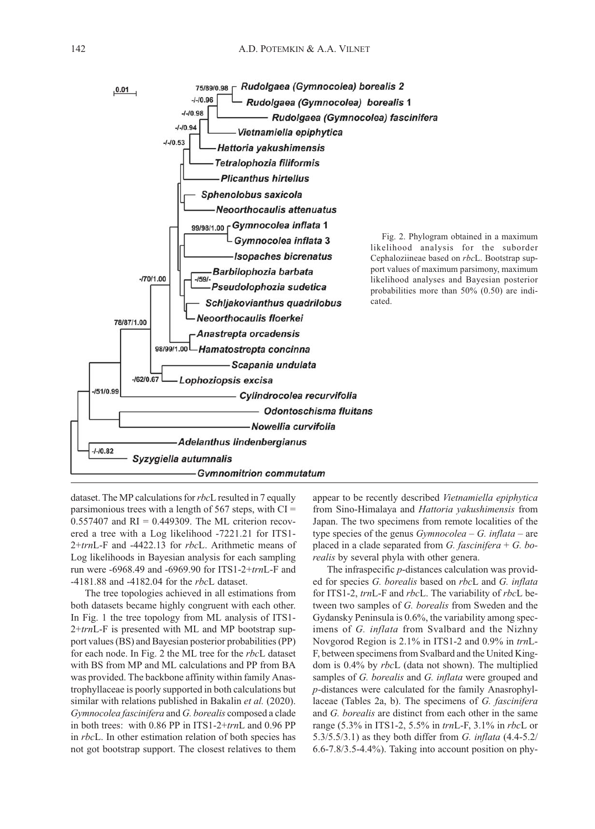

dataset. The MP calculations for rbcL resulted in 7 equally parsimonious trees with a length of  $567$  steps, with CI =  $0.557407$  and RI = 0.449309. The ML criterion recovered a tree with a Log likelihood -7221.21 for ITS1- 2+trnL-F and -4422.13 for rbcL. Arithmetic means of Log likelihoods in Bayesian analysis for each sampling run were -6968.49 and -6969.90 for ITS1-2+trnL-F and -4181.88 and -4182.04 for the rbcL dataset.

The tree topologies achieved in all estimations from both datasets became highly congruent with each other. In Fig. 1 the tree topology from ML analysis of ITS1- 2+trnL-F is presented with ML and MP bootstrap support values (BS) and Bayesian posterior probabilities (PP) for each node. In Fig. 2 the ML tree for the rbcL dataset with BS from MP and ML calculations and PP from BA was provided. The backbone affinity within family Anastrophyllaceae is poorly supported in both calculations but similar with relations published in Bakalin et al. (2020). Gymnocolea fascinifera and G. borealis composed a clade in both trees: with 0.86 PP in ITS1-2+trnL and 0.96 PP in rbcL. In other estimation relation of both species has not got bootstrap support. The closest relatives to them

appear to be recently described Vietnamiella epiphytica from Sino-Himalaya and Hattoria yakushimensis from Japan. The two specimens from remote localities of the type species of the genus  $Gymnocolea - G. inflata - are$ placed in a clade separated from  $G$ . fascinifera +  $G$ . borealis by several phyla with other genera.

The infraspecific p-distances calculation was provided for species G. borealis based on rbcL and G. inflata for ITS1-2, trnL-F and rbcL. The variability of rbcL between two samples of G. borealis from Sweden and the Gydansky Peninsula is 0.6%, the variability among specimens of G. inflata from Svalbard and the Nizhny Novgorod Region is 2.1% in ITS1-2 and 0.9% in trnL-F, between specimens from Svalbard and the United Kingdom is 0.4% by rbcL (data not shown). The multiplied samples of G. borealis and G. inflata were grouped and p-distances were calculated for the family Anasrophyllaceae (Tables 2a, b). The specimens of G. fascinifera and G. borealis are distinct from each other in the same range (5.3% in ITS1-2, 5.5% in trnL-F, 3.1% in rbcL or 5.3/5.5/3.1) as they both differ from G. inflata (4.4-5.2/ 6.6-7.8/3.5-4.4%). Taking into account position on phy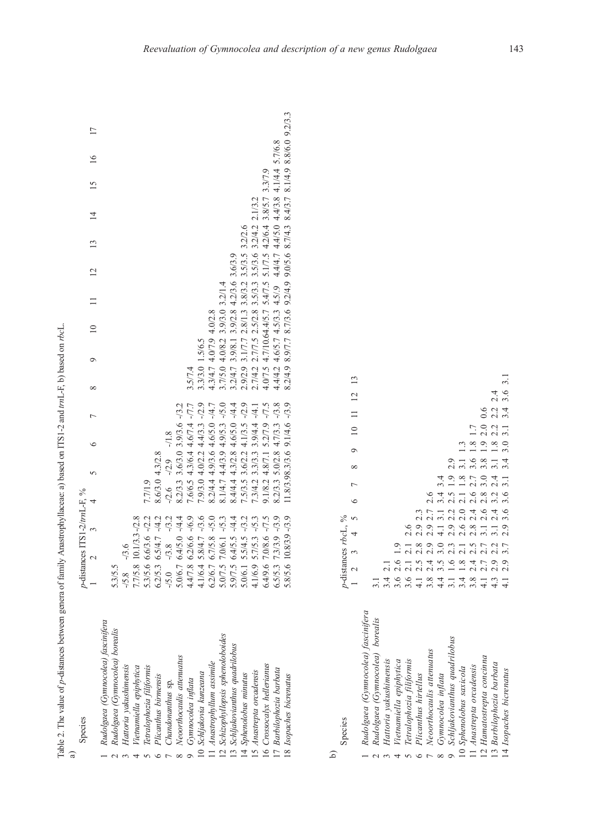Table 2. The value of p-distances between genera of family Anastrophyllaceae: a) based on ITS1-2 and trnL-F, b) based on rbcL. p-distances between genera of family Anastrophyllaceae: a) based on ITS1-2 and trnL-F, b) based on rbcL. Table 2. The value of a)

| Species                            | p-distances ITS1-2/trnL-F, %                                |                                       |                                                                                 |                 |           |                 |               |    |    |                 |
|------------------------------------|-------------------------------------------------------------|---------------------------------------|---------------------------------------------------------------------------------|-----------------|-----------|-----------------|---------------|----|----|-----------------|
|                                    | $\sim$                                                      | $\overline{C}$<br>$\epsilon$<br>5     | $\circ$<br>$\infty$                                                             | $\frac{10}{2}$  | $11 \t12$ | $\overline{13}$ | $\frac{4}{1}$ | 15 | 16 | $\overline{17}$ |
| Rudolgaea (Gynnocolea) fascinifera |                                                             |                                       |                                                                                 |                 |           |                 |               |    |    |                 |
| Rudolgaea (Gymnocolea) borealis    | 5.3/5.5                                                     |                                       |                                                                                 |                 |           |                 |               |    |    |                 |
| Hattoria yakushimensis             | $-13.6$<br>/5.8                                             |                                       |                                                                                 |                 |           |                 |               |    |    |                 |
| Tetnamiella epiphytica             | $10.1/3.3 - 2.8$<br>7.7/5.8                                 |                                       |                                                                                 |                 |           |                 |               |    |    |                 |
| Tetralophozia filiformis           | $6.6/3.6 - 2.2$<br>5.3/5.6                                  | 7.7/1.9                               |                                                                                 |                 |           |                 |               |    |    |                 |
| Plicanthus birmensis               | $6.5/4.7 - 4.2$<br>6.2/5.3                                  | 4.3/2.8<br>8.6/3.0                    |                                                                                 |                 |           |                 |               |    |    |                 |
| Chandonanthus sp.                  | $-13.2$<br>$-3.8$<br>$-5.0$                                 | $-1.8$<br>$-2.9$<br>$-2.6$            |                                                                                 |                 |           |                 |               |    |    |                 |
| Neoorthocaulis attenuatus          | $6.4/5.0 - 4.4.4$                                           | 3.9/3.6 -/3.2<br>3.6/3.0<br>8.2/3.3   |                                                                                 |                 |           |                 |               |    |    |                 |
| Gymnocolea inflata                 | $6.2/6.6 - 76.9$<br>5.0/6.7<br>4.4/7.8                      | 4.3/6.4 4.6/7.4 -/7.7<br>7.6/6.5      | 3.5/7.4                                                                         |                 |           |                 |               |    |    |                 |
| 0 Schljakovia kunzeana             | $5.8/4.7 - 73.6$<br>$4.1/6.4$ $\cdot$                       | $-12.9$<br>7.9/3.0 4.0/2.2 4.4/3.3    | 3.3/3.0 1.5/6.5                                                                 |                 |           |                 |               |    |    |                 |
| Anastrophyllum assimile            | $6.7/5.8 - 5.0$                                             | $-14.7$<br>8.2/4.4 4.9/3.6 4.6/5.0    | 4.3/4.7                                                                         | 4.0/7.9 4.0/2.8 |           |                 |               |    |    |                 |
| 12 Schizophyllopsis sphenoloboides | 7.0/6.1 -/5.3<br>$6.2/6.7$<br>5.0/7.5<br>5.9/7.5<br>5.0/6.1 | $-5.0$<br>4.9/5.3<br>8.1/4.7 4.4/3.9  | 3.7/5.0 4.0/8.2 3.9/3.0 3.2/1.4                                                 |                 |           |                 |               |    |    |                 |
| 13 Schljakovianthus quadrilobus    | $6.4/5.5 - 4.4.4$                                           | $4.6/5.0 - 4.4.4$<br>8.4/4.4 4.3/2.8  | 3.2/4.7 3.9/8.1 3.9/2.8 4.2/3.6 3.6/3.9                                         |                 |           |                 |               |    |    |                 |
| 14 Sphenolobus minutus             | 5.5/4.5 -/3.2                                               | 7.5/3.5 3.6/2.2 4.1/3.5 -/2.9         | 2.9/2.9 3.1/7.7 2.8/1.3 3.8/3.2 3.5/3.5 3.2/2.6                                 |                 |           |                 |               |    |    |                 |
| 15 Anastrepta orcadensis           | $5.7/5.3 - 15.3$<br>1.1/6.9                                 | $7.3/4.2$ 3.3/3.3 3.9/4.4 $-$ /4.1    | 2.7/4.2 2.7/7.5 2.5/2.8 3.5/3.3 3.5/3.6 3.2/4.2 2.1/3.2                         |                 |           |                 |               |    |    |                 |
| 16 Crossocalyx hellerianus         | 7.0/8.6 -/7.5<br>6.4/9.6                                    | $9.1/8.2$ 4.8/7.1 5.2/7.9 -/7.5       | 4.0/7.5 4.7/10.64.4/5.7 5.4/7.5 5.1/7.5 4.2/6.4 3.8/5.7 3.3/7.9                 |                 |           |                 |               |    |    |                 |
| 17 Barbilophozia barbata           | 7.3/3.9 -/3.9<br>6.5/5.3                                    | $-73.8$<br>4.7/3.3<br>8.2/3.3 5.0/2.8 | $4.4/4.2$ 4.6/5.7 4.5/3.3 4.5/.9 4.4/4.7 4.4/5.0 4.4/3.8 4.1/4.4 5.7/6.8        |                 |           |                 |               |    |    |                 |
| 18 Isopaches bicrenatus            | $10.8/3.9 - 73.9$<br>5.8/5.6                                | 11.8/3.98.3/3.6 9.1/4.6 -/3.9         | 8.2/4.9 8.9/7.7 8.7/3.6 9.2/4.9 9.0/5.6 8.7/4.3 8.4/3.7 8.1/4.9 8.8/6.0 9.2/3.3 |                 |           |                 |               |    |    |                 |
|                                    |                                                             |                                       |                                                                                 |                 |           |                 |               |    |    |                 |

| × |
|---|
|   |

Species

 $\overline{\phantom{0}}$ 

 $\sim$ 

 $\tilde{3}$ 

 $\overline{4}$ 

 $\sigma$ 

 $\circ$ 

 $\overline{7}$ 

 $\infty$ 

9

3.1 2.4 3.2 2.4 3.1 1.8 2.2 2.2 2.4<br>2.9 3.6 3.6 3.1 3.4 3.0 3.1 3.4 3.6 3.1  $\overline{13}$  1 2 3 4 5 6 7 8 9 10 11 12 13 14 Isopaches bicrenatus 4.1 2.9 3.7 2.9 3.6 3.6 3.1 3.4 3.0 3.1 3.4 3.6 3.1 $\overline{2}$ 13 Barbilophozia barbata 4.3 2.9 2.2 3.1 2.4 3.2 2.4 3.1 1.8 2.2 2.2 2.4  $2.8\ 2.4\ 2.6\ 2.7\ 3.6\ 1.8\ 1.7\\ 3.1\ 2.6\ 2.8\ 3.0\ 3.8\ 1.9\ 2.0\ 0.6$  $\equiv$ 12 Hamatostrepta concinna 4.1 2.7 2.7 3.1 2.6 2.8 3.0 3.8 1.9 2.0 0.6  $\overline{10}$ 11 Anastrepta orcadensis 3.8 2.4 2.5 2.8 2.4 2.6 2.7 3.6 1.8 1.7 2.6 2.0 2.1 1.8 3.1 1.3 10 Sphenolobus saxicola 3.4 1.8 2.1 2.6 2.0 2.1 1.8 3.1 1.3  $\circ$  $2.9$   $2.2$   $2.5$   $1.9$   $2.9$  Schljakovianthus quadrilobus 3.1 1.6 2.3 2.9 2.2 2.5 1.9 2.9  $\infty$ 4.1 3.1 3.4 3.4 Gymnocolea inflata 4.4 3.5 3.0 4.1 3.1 3.4 3.4  $\overline{C}$ 3.6 2.6 1.9<br>3.6 2.1 2.1 2.6<br>4.1 2.5 2.8 2.9 2.3<br>3.8 2.4 2.9 2.9 2.7 2.6 Neoorthocaulis attenuatus 3.8 2.4 2.9 2.9 2.7 2.6  $\epsilon$ 6 Plicanthus hirtellus  $\frac{1}{4.1}$  2.5 2.8 2.9 2.3  $\approx$  5 p-distances rbcL, %  $p$  -distances  $rbc\mathcal{L},$ 5 Tetralophozia filiformis 3.6 2.1 2.1 2.6  $\overline{4}$ 4.4 3.5 3.0 4<br>3.1 1.6 2.3<br>3.4 1.8 2.1 2.5<br>3.8 2.4 2.7 2.7 3 4.3 2.9 2.2<br>4.1 2.9 3.7 Vietnamiella epiphytica 3.6 2.6 1.9  $\tilde{\phantom{a}}$  $3.42.1$  Hattoria yakushimensis 3.4 2.1  $\overline{\mathcal{L}}$  $\overline{a}$  $3.1$  Rudolgaea (Gymnocolea) borealis 3.1 Rudolgaea (Gymnocolea) fascinifera Rudolgaea (Gymnocolea) fascinifera Rudolgaea (Gymnocolea) borealis Schljakovianthus quadrilobus Neoorthocaulis attenuatus 12 Hamatostrepta concinna Hattoria yakushimensis Vietnamiella epiphytica Tetralophozia filiformis 13 Barbilophozia barbata 10 Sphenolobus saxicola 11 Anastrepta orcadensis 14 Isopaches bicrenatus Gymnocolea inflata Plicanthus hirtellus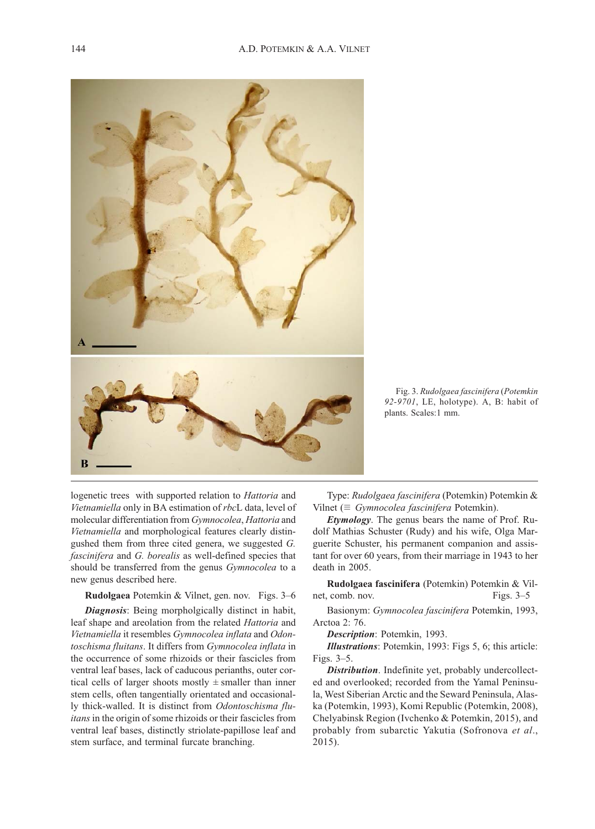

Fig. 3. Rudolgaea fascinifera (Potemkin 92-9701, LE, holotype). A, B: habit of plants. Scales:1 mm.

logenetic trees with supported relation to Hattoria and Vietnamiella only in BA estimation of rbcL data, level of molecular differentiation from Gymnocolea, Hattoria and Vietnamiella and morphological features clearly distingushed them from three cited genera, we suggested G. fascinifera and G. borealis as well-defined species that should be transferred from the genus Gymnocolea to a new genus described here.

#### Rudolgaea Potemkin & Vilnet, gen. nov. Figs. 3–6

**Diagnosis:** Being morpholgically distinct in habit, leaf shape and areolation from the related Hattoria and Vietnamiella it resembles Gymnocolea inflata and Odontoschisma fluitans. It differs from Gymnocolea inflata in the occurrence of some rhizoids or their fascicles from ventral leaf bases, lack of caducous perianths, outer cortical cells of larger shoots mostly  $\pm$  smaller than inner stem cells, often tangentially orientated and occasionally thick-walled. It is distinct from Odontoschisma fluitans in the origin of some rhizoids or their fascicles from ventral leaf bases, distinctly striolate-papillose leaf and stem surface, and terminal furcate branching.

Type: Rudolgaea fascinifera (Potemkin) Potemkin & Vilnet ( $\equiv$  Gymnocolea fascinifera Potemkin).

Etymology. The genus bears the name of Prof. Rudolf Mathias Schuster (Rudy) and his wife, Olga Marguerite Schuster, his permanent companion and assistant for over 60 years, from their marriage in 1943 to her death in 2005.

Rudolgaea fascinifera (Potemkin) Potemkin & Vilnet, comb. nov. Figs. 3–5

Basionym: Gymnocolea fascinifera Potemkin, 1993, Arctoa 2: 76.

Description: Potemkin, 1993.

Illustrations: Potemkin, 1993: Figs 5, 6; this article: Figs. 3–5.

Distribution. Indefinite yet, probably undercollected and overlooked; recorded from the Yamal Peninsula, West Siberian Arctic and the Seward Peninsula, Alaska (Potemkin, 1993), Komi Republic (Potemkin, 2008), Chelyabinsk Region (Ivchenko & Potemkin, 2015), and probably from subarctic Yakutia (Sofronova et al., 2015).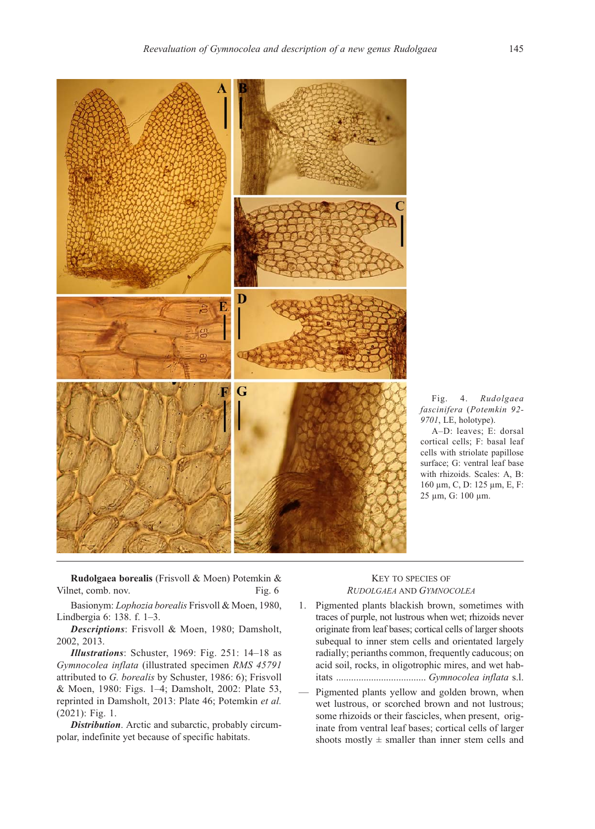

Fig. 4. Rudolgaea fascinifera (Potemkin 92- 9701, LE, holotype).

A–D: leaves; E: dorsal cortical cells; F: basal leaf cells with striolate papillose surface; G: ventral leaf base with rhizoids. Scales: A, B: 160 μm, C, D: 125 μm, E, F: 25 μm, G: 100 μm.

Rudolgaea borealis (Frisvoll & Moen) Potemkin & Vilnet, comb. nov. Fig. 6

Basionym: Lophozia borealis Frisvoll & Moen, 1980, Lindbergia 6: 138. f. 1–3.

Descriptions: Frisvoll & Moen, 1980; Damsholt, 2002, 2013.

Illustrations: Schuster, 1969: Fig. 251: 14–18 as Gymnocolea inflata (illustrated specimen RMS 45791 attributed to G. borealis by Schuster, 1986: 6); Frisvoll & Moen, 1980: Figs. 1–4; Damsholt, 2002: Plate 53, reprinted in Damsholt, 2013: Plate 46; Potemkin et al. (2021): Fig. 1.

Distribution. Arctic and subarctic, probably circumpolar, indefinite yet because of specific habitats.

# KEY TO SPECIES OF RUDOLGAEA AND GYMNOCOLEA

- 1. Pigmented plants blackish brown, sometimes with traces of purple, not lustrous when wet; rhizoids never originate from leaf bases; cortical cells of larger shoots subequal to inner stem cells and orientated largely radially; perianths common, frequently caducous; on acid soil, rocks, in oligotrophic mires, and wet habitats .................................... Gymnocolea inflata s.l.
- Pigmented plants yellow and golden brown, when wet lustrous, or scorched brown and not lustrous; some rhizoids or their fascicles, when present, originate from ventral leaf bases; cortical cells of larger shoots mostly  $\pm$  smaller than inner stem cells and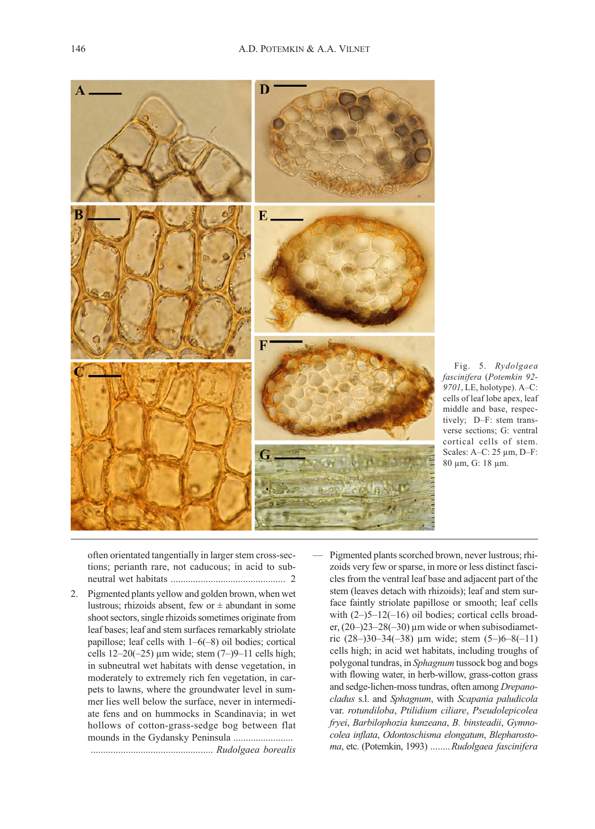

Fig. 5. Rydolgaea fascinifera (Potemkin 92- 9701, LE, holotype). A–C: cells of leaf lobe apex, leaf middle and base, respectively; D–F: stem transverse sections; G: ventral cortical cells of stem. Scales: A–C: 25 μm, D–F: 80 μm, G: 18 μm.

often orientated tangentially in larger stem cross-sections; perianth rare, not caducous; in acid to subneutral wet habitats .............................................. 2

- 2. Pigmented plants yellow and golden brown, when wet lustrous; rhizoids absent, few or  $\pm$  abundant in some shoot sectors, single rhizoids sometimes originate from leaf bases; leaf and stem surfaces remarkably striolate papillose; leaf cells with 1–6(–8) oil bodies; cortical cells  $12-20(-25)$  µm wide; stem  $(7-)9-11$  cells high; in subneutral wet habitats with dense vegetation, in moderately to extremely rich fen vegetation, in carpets to lawns, where the groundwater level in summer lies well below the surface, never in intermediate fens and on hummocks in Scandinavia; in wet hollows of cotton-grass-sedge bog between flat mounds in the Gydansky Peninsula ........................ ................................................. Rudolgaea borealis
- Pigmented plants scorched brown, never lustrous; rhizoids very few or sparse, in more or less distinct fascicles from the ventral leaf base and adjacent part of the stem (leaves detach with rhizoids); leaf and stem surface faintly striolate papillose or smooth; leaf cells with  $(2-)5-12(-16)$  oil bodies; cortical cells broader,  $(20-23-28(-30)$  μm wide or when subisodiametric  $(28-)30-34(-38)$  μm wide; stem  $(5-)6-8(-11)$ cells high; in acid wet habitats, including troughs of polygonal tundras, in Sphagnum tussock bog and bogs with flowing water, in herb-willow, grass-cotton grass and sedge-lichen-moss tundras, often among Drepanocladus s.l. and Sphagnum, with Scapania paludicola var. rotundiloba, Ptilidium ciliare, Pseudolepicolea fryei, Barbilophozia kunzeana, B. binsteadii, Gymnocolea inflata, Odontoschisma elongatum, Blepharostoma, etc. (Potemkin, 1993) ........Rudolgaea fascinifera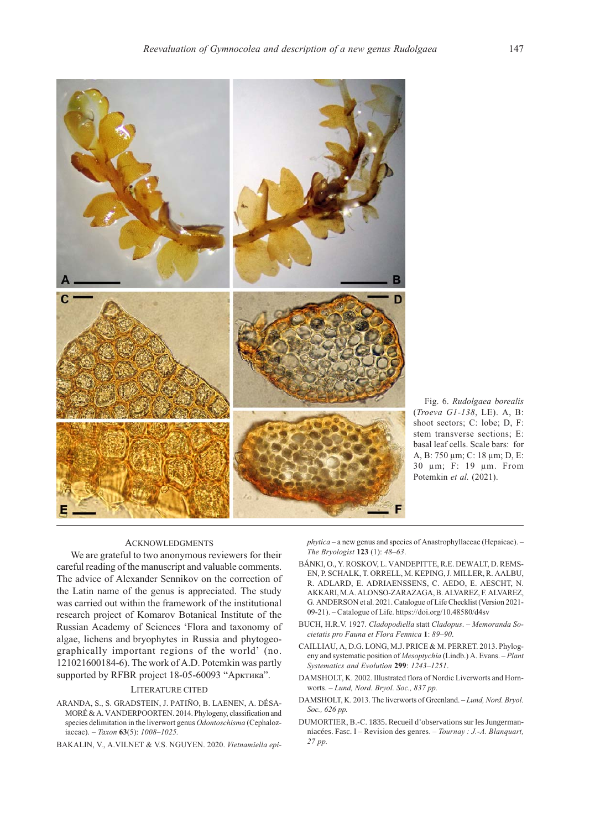

Fig. 6. Rudolgaea borealis (Troeva G1-138, LE). A, B: shoot sectors; C: lobe; D, F: stem transverse sections; E: basal leaf cells. Scale bars: for A, B: 750 μm; C: 18 μm; D, E: 30 μm; F: 19 μm. From Potemkin et al. (2021).

### ACKNOWLEDGMENTS

We are grateful to two anonymous reviewers for their careful reading of the manuscript and valuable comments. The advice of Alexander Sennikov on the correction of the Latin name of the genus is appreciated. The study was carried out within the framework of the institutional research project of Komarov Botanical Institute of the Russian Academy of Sciences 'Flora and taxonomy of algae, lichens and bryophytes in Russia and phytogeographically important regions of the world' (no. 121021600184-6). The work of A.D. Potemkin was partly supported by RFBR project 18-05-60093 "Арктика".

## LITERATURE CITED

- ARANDA, S., S. GRADSTEIN, J. PATIÑO, B. LAENEN, A. DÉSA-MORÉ & A. VANDERPOORTEN. 2014. Phylogeny, classification and species delimitation in the liverwort genus Odontoschisma (Cephaloziaceae). – Taxon  $63(5)$ : 1008–1025.
- BAKALIN, V., A.VILNET & V.S. NGUYEN. 2020. Vietnamiella epi-

phytica – a new genus and species of Anastrophyllaceae (Hepaicae). – The Bryologist 123 (1): 48–63.

- BÁNKI, O., Y. ROSKOV, L. VANDEPITTE, R.E. DEWALT, D. REMS-EN, P. SCHALK, T. ORRELL, M. KEPING, J. MILLER, R. AALBU, R. ADLARD, E. ADRIAENSSENS, C. AEDO, E. AESCHT, N. AKKARI, M.A. ALONSO-ZARAZAGA, B. ALVAREZ, F. ALVAREZ, G. ANDERSON et al. 2021. Catalogue of Life Checklist (Version 2021- 09-21). – Catalogue of Life. https://doi.org/10.48580/d4sv
- BUCH, H.R.V. 1927. Cladopodiella statt Cladopus. Memoranda Societatis pro Fauna et Flora Fennica 1: 89–90.
- CAILLIAU, A, D.G. LONG, M.J. PRICE & M. PERRET. 2013. Phylogeny and systematic position of Mesoptychia (Lindb.) A. Evans. – Plant Systematics and Evolution 299: 1243–1251.
- DAMSHOLT, K. 2002. Illustrated flora of Nordic Liverworts and Hornworts. – Lund, Nord. Bryol. Soc., 837 pp.
- DAMSHOLT, K. 2013. The liverworts of Greenland. Lund, Nord. Bryol. Soc., 626 pp.
- DUMORTIER, B.-C. 1835. Recueil d'observations sur les Jungermanniacées. Fasc. I – Revision des genres. – Tournay : J.-A. Blanquart, 27 pp.